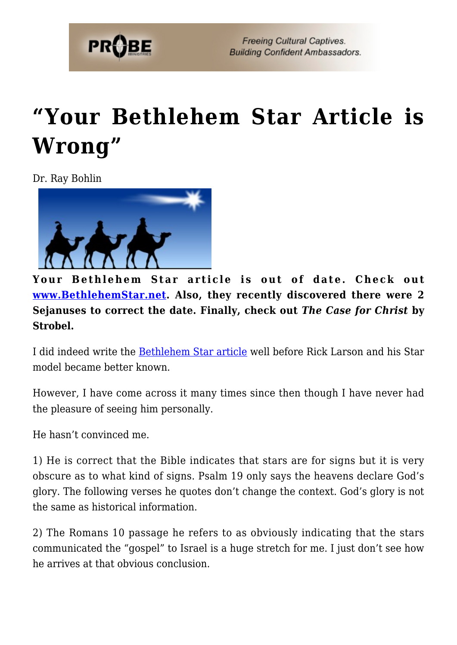

## **["Your Bethlehem Star Article is](https://probe.org/your-bethlehem-star-article-is-wrong/) [Wrong"](https://probe.org/your-bethlehem-star-article-is-wrong/)**

Dr. Ray Bohlin



**Your Bethlehem Star article is out of date. Check out [www.BethlehemStar.net.](http://www.BethlehemStar.net) Also, they recently discovered there were 2 Sejanuses to correct the date. Finally, check out** *The Case for Christ* **by Strobel.**

I did indeed write the [Bethlehem Star article](https://www.probe.org/the-star-of-bethlehem/) well before Rick Larson and his Star model became better known.

However, I have come across it many times since then though I have never had the pleasure of seeing him personally.

He hasn't convinced me.

1) He is correct that the Bible indicates that stars are for signs but it is very obscure as to what kind of signs. Psalm 19 only says the heavens declare God's glory. The following verses he quotes don't change the context. God's glory is not the same as historical information.

2) The Romans 10 passage he refers to as obviously indicating that the stars communicated the "gospel" to Israel is a huge stretch for me. I just don't see how he arrives at that obvious conclusion.